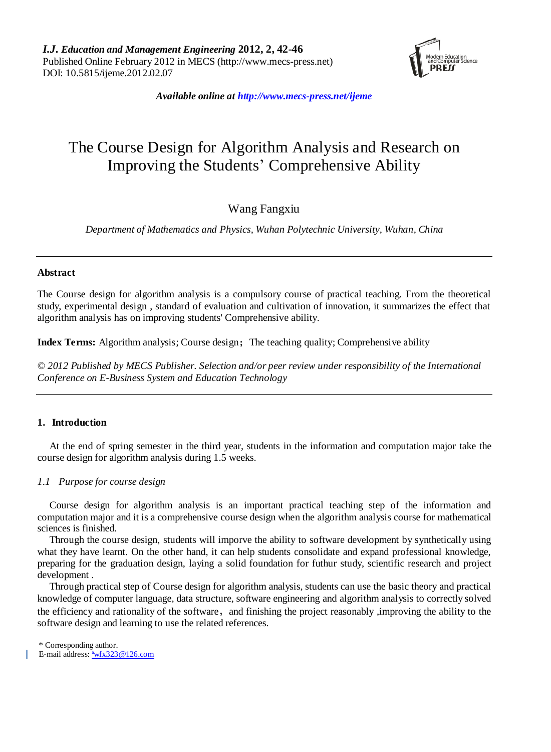

*Available online at http://www.mecs-press.net/ijeme*

# The Course Design for Algorithm Analysis and Research on Improving the Students' Comprehensive Ability

# Wang Fangxiu

*Department of Mathematics and Physics, Wuhan Polytechnic University, Wuhan, China*

# **Abstract**

The Course design for algorithm analysis is a compulsory course of practical teaching. From the theoretical study, experimental design , standard of evaluation and cultivation of innovation, it summarizes the effect that algorithm analysis has on improving students' Comprehensive ability.

**Index Terms:** Algorithm analysis; Course design; The teaching quality; Comprehensive ability

*© 2012 Published by MECS Publisher. Selection and/or peer review under responsibility of the International Conference on E-Business System and Education Technology*

# **1. Introduction**

At the end of spring semester in the third year, students in the information and computation major take the course design for algorithm analysis during 1.5 weeks.

# *1.1 Purpose for course design*

Course design for algorithm analysis is an important practical teaching step of the information and computation major and it is a comprehensive course design when the algorithm analysis course for mathematical sciences is finished.

Through the course design, students will imporve the ability to software development by synthetically using what they have learnt. On the other hand, it can help students consolidate and expand professional knowledge, preparing for the graduation design, laying a solid foundation for futhur study, scientific research and project development .

Through practical step of Course design for algorithm analysis, students can use the basic theory and practical knowledge of computer language, data structure, software engineering and algorithm analysis to correctly solved the efficiency and rationality of the software, and finishing the project reasonably , improving the ability to the software design and learning to use the related references.

\* Corresponding author.

E-mail address: <sup>a</sup>[wfx323@126.com](mailto:awfx323@126.com)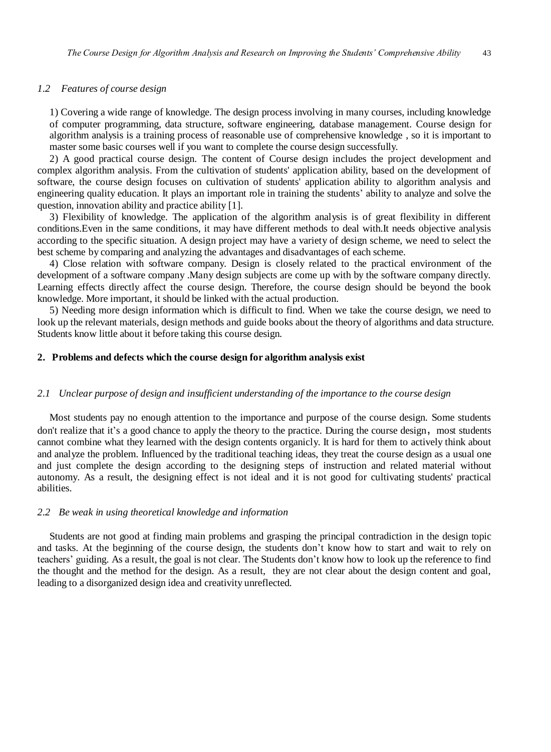### *1.2 Features of course design*

1) Covering a wide range of knowledge. The design process involving in many courses, including knowledge of computer programming, data structure, software engineering, database management. Course design for algorithm analysis is a training process of reasonable use of comprehensive knowledge , so it is important to master some basic courses well if you want to complete the course design successfully.

2) A good practical course design. The content of Course design includes the project development and complex algorithm analysis. From the cultivation of students' application ability, based on the development of software, the course design focuses on cultivation of students' application ability to algorithm analysis and engineering quality education. It plays an important role in training the students' ability to analyze and solve the question, innovation ability and practice ability [1].

3) Flexibility of knowledge. The application of the algorithm analysis is of great flexibility in different conditions.Even in the same conditions, it may have different methods to deal with.It needs objective analysis according to the specific situation. A design project may have a variety of design scheme, we need to select the best scheme by comparing and analyzing the advantages and disadvantages of each scheme.

4) Close relation with software company. Design is closely related to the practical environment of the development of a software company .Many design subjects are come up with by the software company directly. Learning effects directly affect the course design. Therefore, the course design should be beyond the book knowledge. More important, it should be linked with the actual production.

5) Needing more design information which is difficult to find. When we take the course design, we need to look up the relevant materials, design methods and guide books about the theory of algorithms and data structure. Students know little about it before taking this course design.

#### **2. Problems and defects which the course design for algorithm analysis exist**

#### *2.1 Unclear purpose of design and insufficient understanding of the importance to the course design*

Most students pay no enough attention to the importance and purpose of the course design. Some students don't realize that it's a good chance to apply the theory to the practice. During the course design, most students cannot combine what they learned with the design contents organicly. It is hard for them to actively think about and analyze the problem. Influenced by the traditional teaching ideas, they treat the course design as a usual one and just complete the design according to the designing steps of instruction and related material without autonomy. As a result, the designing effect is not ideal and it is not good for cultivating students' practical abilities.

#### *2.2 Be weak in using theoretical knowledge and information*

Students are not good at finding main problems and grasping the principal contradiction in the design topic and tasks. At the beginning of the course design, the students don't know how to start and wait to rely on teachers' guiding. As a result, the goal is not clear. The Students don't know how to look up the reference to find the thought and the method for the design. As a result, they are not clear about the design content and goal, leading to a disorganized design idea and creativity unreflected.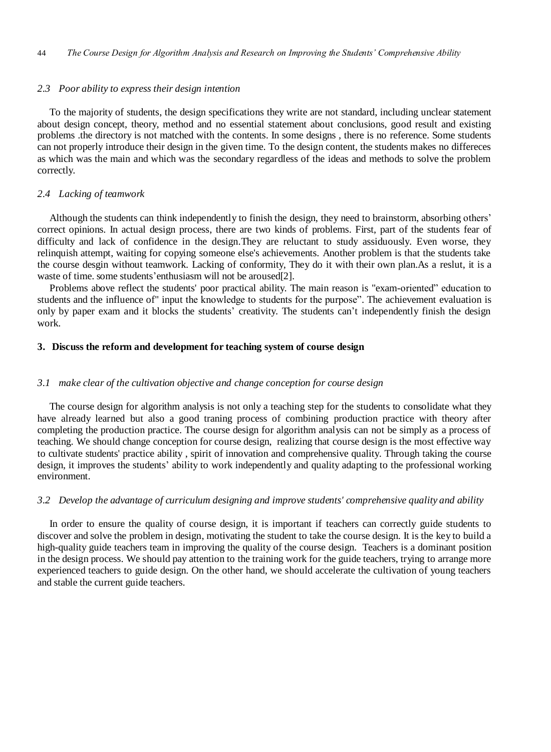#### *2.3 Poor ability to express their design intention*

To the majority of students, the design specifications they write are not standard, including unclear statement about design concept, theory, method and no essential statement about conclusions, good result and existing problems .the directory is not matched with the contents. In some designs , there is no reference. Some students can not properly introduce their design in the given time. To the design content, the students makes no differeces as which was the main and which was the secondary regardless of the ideas and methods to solve the problem correctly.

#### *2.4 Lacking of teamwork*

Although the students can think independently to finish the design, they need to brainstorm, absorbing others' correct opinions. In actual design process, there are two kinds of problems. First, part of the students fear of difficulty and lack of confidence in the design. They are reluctant to study assiduously. Even worse, they relinquish attempt, waiting for copying someone else's achievements. Another problem is that the students take the course desgin without teamwork. Lacking of conformity, They do it with their own plan.As a reslut, it is a waste of time. some students'enthusiasm will not be aroused[2].

Problems above reflect the students' poor practical ability. The main reason is "exam-oriented" education to students and the influence of" input the knowledge to students for the purpose". The achievement evaluation is only by paper exam and it blocks the students' creativity. The students can't independently finish the design work.

#### **3. Discuss the reform and development for teaching system of course design**

#### *3.1 make clear of the cultivation objective and change conception for course design*

The course design for algorithm analysis is not only a teaching step for the students to consolidate what they have already learned but also a good traning process of combining production practice with theory after completing the production practice. The course design for algorithm analysis can not be simply as a process of teaching. We should change conception for course design, realizing that course design is the most effective way to cultivate students' practice ability , spirit of innovation and comprehensive quality. Through taking the course design, it improves the students' ability to work independently and quality adapting to the professional working environment.

#### *3.2 Develop the advantage of curriculum designing and improve students' comprehensive quality and ability*

In order to ensure the quality of course design, it is important if teachers can correctly guide students to discover and solve the problem in design, motivating the student to take the course design. It is the key to build a high-quality guide teachers team in improving the quality of the course design. Teachers is a dominant position in the design process. We should pay attention to the training work for the guide teachers, trying to arrange more experienced teachers to guide design. On the other hand, we should accelerate the cultivation of young teachers and stable the current guide teachers.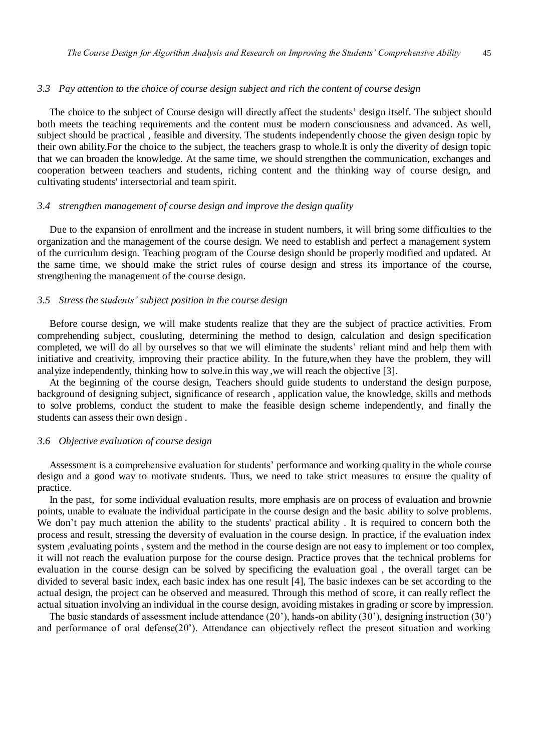#### *3.3 Pay attention to the choice of course design subject and rich the content of course design*

The choice to the subject of Course design will directly affect the students' design itself. The subject should both meets the teaching requirements and the content must be modern consciousness and advanced. As well, subject should be practical , feasible and diversity. The students independently choose the given design topic by their own ability.For the choice to the subject, the teachers grasp to whole.It is only the diverity of design topic that we can broaden the knowledge. At the same time, we should strengthen the communication, exchanges and cooperation between teachers and students, riching content and the thinking way of course design, and cultivating students' intersectorial and team spirit.

# *3.4 strengthen management of course design and improve the design quality*

Due to the expansion of enrollment and the increase in student numbers, it will bring some difficulties to the organization and the management of the course design. We need to establish and perfect a management system of the curriculum design. Teaching program of the Course design should be properly modified and updated. At the same time, we should make the strict rules of course design and stress its importance of the course, strengthening the management of the course design.

#### *3.5 Stress the students' subject position in the course design*

Before course design, we will make students realize that they are the subject of practice activities. From comprehending subject, cousluting, determining the method to design, calculation and design specification completed, we will do all by ourselves so that we will eliminate the students' reliant mind and help them with initiative and creativity, improving their practice ability. In the future,when they have the problem, they will analyize independently, thinking how to solve.in this way ,we will reach the objective [3].

At the beginning of the course design, Teachers should guide students to understand the design purpose, background of designing subject, significance of research , application value, the knowledge, skills and methods to solve problems, conduct the student to make the feasible design scheme independently, and finally the students can assess their own design .

#### *3.6 Objective evaluation of course design*

Assessment is a comprehensive evaluation for students' performance and working quality in the whole course design and a good way to motivate students. Thus, we need to take strict measures to ensure the quality of practice.

In the past, for some individual evaluation results, more emphasis are on process of evaluation and brownie points, unable to evaluate the individual participate in the course design and the basic ability to solve problems. We don't pay much attenion the ability to the students' practical ability . It is required to concern both the process and result, stressing the deversity of evaluation in the course design. In practice, if the evaluation index system ,evaluating points , system and the method in the course design are not easy to implement or too complex, it will not reach the evaluation purpose for the course design. Practice proves that the technical problems for evaluation in the course design can be solved by specificing the evaluation goal , the overall target can be divided to several basic index, each basic index has one result [4], The basic indexes can be set according to the actual design, the project can be observed and measured. Through this method of score, it can really reflect the actual situation involving an individual in the course design, avoiding mistakes in grading or score by impression.

The basic standards of assessment include attendance (20'), hands-on ability (30'), designing instruction (30') and performance of oral defense(20'). Attendance can objectively reflect the present situation and working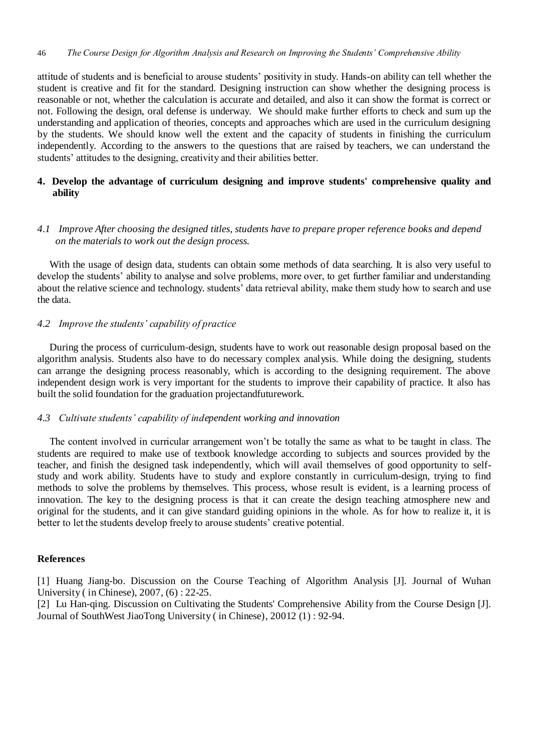attitude of students and is beneficial to arouse students' positivity in study. Hands-on ability can tell whether the student is creative and fit for the standard. Designing instruction can show whether the designing process is reasonable or not, whether the calculation is accurate and detailed, and also it can show the format is correct or not. Following the design, oral defense is underway. We should make further efforts to check and sum up the understanding and application of theories, concepts and approaches which are used in the curriculum designing by the students. We should know well the extent and the capacity of students in finishing the curriculum independently. According to the answers to the questions that are raised by teachers, we can understand the students' attitudes to the designing, creativity and their abilities better.

# **4. Develop the advantage of curriculum designing and improve students' comprehensive quality and ability**

# *4.1 Improve After choosing the designed titles, students have to prepare proper reference books and depend on the materials to work out the design process.*

With the usage of design data, students can obtain some methods of data searching. It is also very useful to develop the students' ability to analyse and solve problems, more over, to get further familiar and understanding about the relative science and technology. students' data retrieval ability, make them study how to search and use the data.

# *4.2 Improve the students' capability of practice*

During the process of curriculum-design, students have to work out reasonable design proposal based on the algorithm analysis. Students also have to do necessary complex analysis. While doing the designing, students can arrange the designing process reasonably, which is according to the designing requirement. The above independent design work is very important for the students to improve their capability of practice. It also has built the solid foundation for the graduation projectandfuturework.

# *4.3 Cultivate students' capability of independent working and innovation*

The content involved in curricular arrangement won't be totally the same as what to be taught in class. The students are required to make use of textbook knowledge according to subjects and sources provided by the teacher, and finish the designed task independently, which will avail themselves of good opportunity to selfstudy and work ability. Students have to study and explore constantly in curriculum-design, trying to find methods to solve the problems by themselves. This process, whose result is evident, is a learning process of innovation. The key to the designing process is that it can create the design teaching atmosphere new and original for the students, and it can give standard guiding opinions in the whole. As for how to realize it, it is better to let the students develop freely to arouse students' creative potential.

# **References**

[1] Huang Jiang-bo. Discussion on the Course Teaching of Algorithm Analysis [J]. Journal of Wuhan University ( in Chinese), 2007, (6) : 22-25.

[2] Lu Han-qing. Discussion on Cultivating the Students' Comprehensive Ability from the Course Design [J]. Journal of SouthWest JiaoTong University ( in Chinese), 20012 (1) : 92-94.